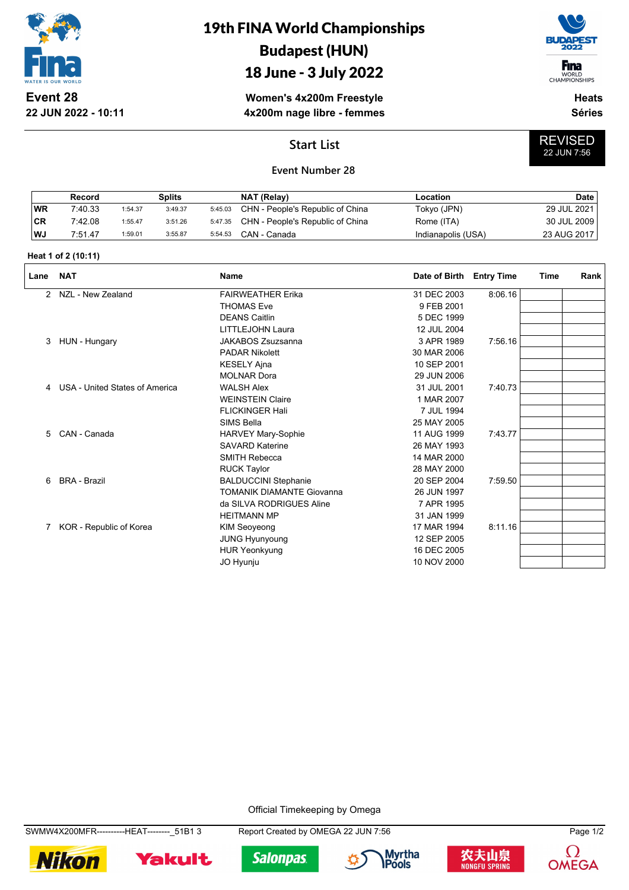

**22 JUN 2022 - 10:11**

# 19th FINA World Championships Budapest (HUN)

## 18 June - 3 July 2022

**Women's 4x200m Freestyle 4x200m nage libre - femmes**



WORLD<br>CHAMPIONSHIPS

**Heats Séries**

## **Start List**



### **Event Number 28**

|     | Record  |         | Splits  |         | NAT (Relay)                      | Location           | Date        |
|-----|---------|---------|---------|---------|----------------------------------|--------------------|-------------|
| WR  | 7:40.33 | 1:54.37 | 3:49.37 | 5:45.03 | CHN - People's Republic of China | Tokyo (JPN)        | 29 JUL 2021 |
| ∣CR | 7:42.08 | 1:55.47 | 3:51.26 | 5:47.35 | CHN - People's Republic of China | Rome (ITA)         | 30 JUL 2009 |
| WJ  | 7:51.47 | 1:59.01 | 3:55.87 | 5:54.53 | CAN - Canada                     | Indianapolis (USA) | 23 AUG 2017 |

#### **Heat 1 of 2 (10:11)**

| Lane         | <b>NAT</b>                            | <b>Name</b>                      | Date of Birth | <b>Entry Time</b> | Time | Rank |
|--------------|---------------------------------------|----------------------------------|---------------|-------------------|------|------|
| $\mathbf{2}$ | NZL - New Zealand                     | <b>FAIRWEATHER Erika</b>         | 31 DEC 2003   | 8:06.16           |      |      |
|              |                                       | <b>THOMAS Eve</b>                | 9 FEB 2001    |                   |      |      |
|              |                                       | <b>DEANS Caitlin</b>             | 5 DEC 1999    |                   |      |      |
|              |                                       | LITTLEJOHN Laura                 | 12 JUL 2004   |                   |      |      |
| 3            | HUN - Hungary                         | JAKABOS Zsuzsanna                | 3 APR 1989    | 7:56.16           |      |      |
|              |                                       | <b>PADAR Nikolett</b>            | 30 MAR 2006   |                   |      |      |
|              |                                       | <b>KESELY Ajna</b>               | 10 SEP 2001   |                   |      |      |
|              |                                       | <b>MOLNAR Dora</b>               | 29 JUN 2006   |                   |      |      |
| 4            | <b>USA - United States of America</b> | <b>WALSH Alex</b>                | 31 JUL 2001   | 7:40.73           |      |      |
|              |                                       | <b>WEINSTEIN Claire</b>          | 1 MAR 2007    |                   |      |      |
|              |                                       | <b>FLICKINGER Hali</b>           | 7 JUL 1994    |                   |      |      |
|              |                                       | SIMS Bella                       | 25 MAY 2005   |                   |      |      |
| 5            | CAN - Canada                          | HARVEY Mary-Sophie               | 11 AUG 1999   | 7:43.77           |      |      |
|              |                                       | <b>SAVARD Katerine</b>           | 26 MAY 1993   |                   |      |      |
|              |                                       | <b>SMITH Rebecca</b>             | 14 MAR 2000   |                   |      |      |
|              |                                       | <b>RUCK Taylor</b>               | 28 MAY 2000   |                   |      |      |
| 6            | <b>BRA - Brazil</b>                   | <b>BALDUCCINI Stephanie</b>      | 20 SEP 2004   | 7:59.50           |      |      |
|              |                                       | <b>TOMANIK DIAMANTE Giovanna</b> | 26 JUN 1997   |                   |      |      |
|              |                                       | da SILVA RODRIGUES Aline         | 7 APR 1995    |                   |      |      |
|              |                                       | <b>HEITMANN MP</b>               | 31 JAN 1999   |                   |      |      |
|              | KOR - Republic of Korea               | KIM Seoyeong                     | 17 MAR 1994   | 8:11.16           |      |      |
|              |                                       | <b>JUNG Hyunyoung</b>            | 12 SEP 2005   |                   |      |      |
|              |                                       | <b>HUR Yeonkyung</b>             | 16 DEC 2005   |                   |      |      |
|              |                                       | JO Hyunju                        | 10 NOV 2000   |                   |      |      |

Official Timekeeping by Omega

SWMW4X200MFR----------HEAT--------\_51B1 3 Report Created by OMEGA 22 JUN 7:56 Page 1/2